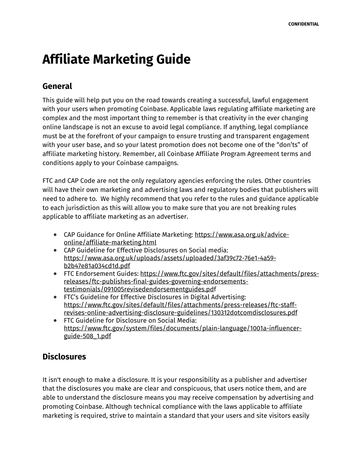# **Affiliate Marketing Guide**

## **General**

This guide will help put you on the road towards creating a successful, lawful engagement with your users when promoting Coinbase. Applicable laws regulating affiliate marketing are complex and the most important thing to remember is that creativity in the ever changing online landscape is not an excuse to avoid legal compliance. If anything, legal compliance must be at the forefront of your campaign to ensure trusting and transparent engagement with your user base, and so your latest promotion does not become one of the "don'ts" of affiliate marketing history. Remember, all Coinbase Affiliate Program Agreement terms and conditions apply to your Coinbase campaigns.

FTC and CAP Code are not the only regulatory agencies enforcing the rules. Other countries will have their own marketing and advertising laws and regulatory bodies that publishers will need to adhere to. We highly recommend that you refer to the rules and guidance applicable to each jurisdiction as this will allow you to make sure that you are not breaking rules applicable to affiliate marketing as an advertiser.

- CAP Guidance for Online Affiliate Marketing: https://www.asa.org.uk/adviceonline/affiliate-marketing.html
- CAP Guideline for Effective Disclosures on Social media: https://www.asa.org.uk/uploads/assets/uploaded/3af39c72-76e1-4a59 b2b47e81a034cd1d.pdf
- FTC Endorsement Guides: https://www.ftc.gov/sites/default/files/attachments/pressreleases/ftc-publishes-final-guides-governing-endorsementstestimonials/091005revisedendorsementguides.pdf
- FTC's Guideline for Effective Disclosures in Digital Advertising: https://www.ftc.gov/sites/default/files/attachments/press-releases/ftc-staffrevises-online-advertising-disclosure-guidelines/130312dotcomdisclosures.pdf
- FTC Guideline for Disclosure on Social Media: https://www.ftc.gov/system/files/documents/plain-language/1001a-influencerguide-508\_1.pdf

## **Disclosures**

It isn't enough to make a disclosure. It is your responsibility as a publisher and advertiser that the disclosures you make are clear and conspicuous, that users notice them, and are able to understand the disclosure means you may receive compensation by advertising and promoting Coinbase. Although technical compliance with the laws applicable to affiliate marketing is required, strive to maintain a standard that your users and site visitors easily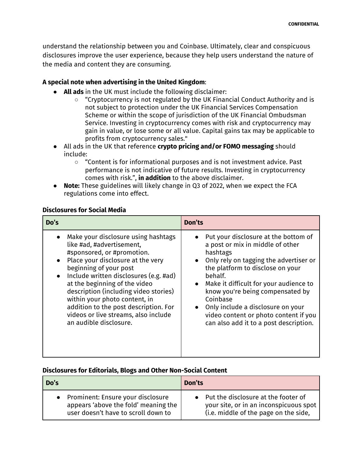understand the relationship between you and Coinbase. Ultimately, clear and conspicuous disclosures improve the user experience, because they help users understand the nature of the media and content they are consuming.

#### **A special note when advertising in the United Kingdom**:

- **All ads** in the UK must include the following disclaimer:
	- "Cryptocurrency is not regulated by the UK Financial Conduct Authority and is not subject to protection under the UK Financial Services Compensation Scheme or within the scope of jurisdiction of the UK Financial Ombudsman Service. Investing in cryptocurrency comes with risk and cryptocurrency may gain in value, or lose some or all value. Capital gains tax may be applicable to profits from cryptocurrency sales."
- All ads in the UK that reference **crypto pricing and/or FOMO messaging** should include:
	- "Content is for informational purposes and is not investment advice. Past performance is not indicative of future results. Investing in cryptocurrency comes with risk.", **in addition** to the above disclaimer.
- **Note:** These guidelines will likely change in Q3 of 2022, when we expect the FCA regulations come into effect.

#### **Disclosures for Social Media**

| Do's                                                                                                                                                                                                                                                                                                                                                                                                                          | <b>Don'ts</b>                                                                                                                                                                                                                                                                                                                                                                                                                          |
|-------------------------------------------------------------------------------------------------------------------------------------------------------------------------------------------------------------------------------------------------------------------------------------------------------------------------------------------------------------------------------------------------------------------------------|----------------------------------------------------------------------------------------------------------------------------------------------------------------------------------------------------------------------------------------------------------------------------------------------------------------------------------------------------------------------------------------------------------------------------------------|
| Make your disclosure using hashtags<br>like #ad, #advertisement,<br>#sponsored, or #promotion.<br>Place your disclosure at the very<br>beginning of your post<br>Include written disclosures (e.g. #ad)<br>at the beginning of the video<br>description (including video stories)<br>within your photo content, in<br>addition to the post description. For<br>videos or live streams, also include<br>an audible disclosure. | Put your disclosure at the bottom of<br>a post or mix in middle of other<br>hashtags<br>Only rely on tagging the advertiser or<br>$\bullet$<br>the platform to disclose on your<br>behalf.<br>Make it difficult for your audience to<br>$\bullet$<br>know you're being compensated by<br>Coinbase<br>Only include a disclosure on your<br>$\bullet$<br>video content or photo content if you<br>can also add it to a post description. |

#### **Disclosures for Editorials, Blogs and Other Non-Social Content**

| Do's                                 | Don'ts                                 |
|--------------------------------------|----------------------------------------|
| • Prominent: Ensure your disclosure  | • Put the disclosure at the footer of  |
| appears 'above the fold' meaning the | your site, or in an inconspicuous spot |
| user doesn't have to scroll down to  | (i.e. middle of the page on the side,  |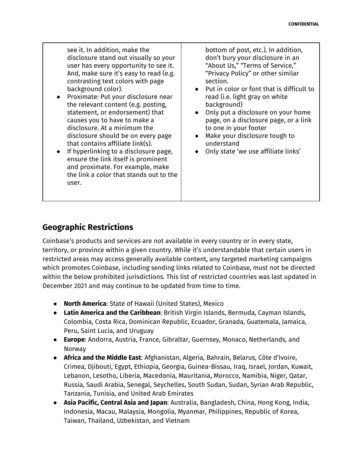see it. In addition, make the disclosure stand out visually so your user has every opportunity to see it. And, make sure it's easy to read (e.g. contrasting text colors with page background color).

- Proximate: Put your disclosure near the relevant content (e.g. posting, statement, or endorsement) that causes you to have to make a disclosure. At a minimum the disclosure should be on every page that contains affiliate link(s).
- If hyperlinking to a disclosure page, ensure the link itself is prominent and proximate. For example, make the link a color that stands out to the user.

bottom of post, etc.). In addition, don't bury your disclosure in an "About Us," "Terms of Service," "Privacy Policy" or other similar section.

- Put in color or font that is difficult to read (i.e. light gray on white background)
- Only put a disclosure on your home page, on a disclosure page, or a link to one in your footer
- Make your disclosure tough to understand
- Only state 'we use affiliate links'

# **Geographic Restrictions**

Coinbase's products and services are not available in every country or in every state, territory, or province within a given country. While it's understandable that certain users in restricted areas may access generally available content, any targeted marketing campaigns which promotes Coinbase, including sending links related to Coinbase, must not be directed within the below prohibited jurisdictions. This list of restricted countries was last updated in December 2021 and may continue to be updated from time to time.

- **North America**: State of Hawaii (United States), Mexico
- **Latin America and the Caribbean**: British Virgin Islands, Bermuda, Cayman Islands, Colombia, Costa Rica, Dominican Republic, Ecuador, Granada, Guatemala, Jamaica, Peru, Saint Lucia, and Uruguay
- **Europe**: Andorra, Austria, France, Gibraltar, Guernsey, Monaco, Netherlands, and Norway
- **Africa and the Middle East**: Afghanistan, Algeria, Bahrain, Belarus, Côte d'Ivoire, Crimea, Djibouti, Egypt, Ethiopia, Georgia, Guinea-Bissau, Iraq, Israel, Jordan, Kuwait, Lebanon, Lesotho, Liberia, Macedonia, Mauritania, Morocco, Namibia, Niger, Qatar, Russia, Saudi Arabia, Senegal, Seychelles, South Sudan, Sudan, Syrian Arab Republic, Tanzania, Tunisia, and United Arab Emirates
- **Asia Pacific, Central Asia and Japan**: Australia, Bangladesh, China, Hong Kong, India, Indonesia, Macau, Malaysia, Mongolia, Myanmar, Philippines, Republic of Korea, Taiwan, Thailand, Uzbekistan, and Vietnam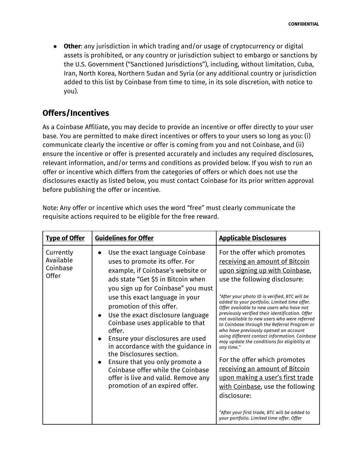● **Other**: any jurisdiction in which trading and/or usage of cryptocurrency or digital assets is prohibited, or any country or jurisdiction subject to embargo or sanctions by the U.S. Government ("Sanctioned Jurisdictions"), including, without limitation, Cuba, Iran, North Korea, Northern Sudan and Syria (or any additional country or jurisdiction added to this list by Coinbase from time to time, in its sole discretion, with notice to you).

### **Offers/Incentives**

As a Coinbase Affiliate, you may decide to provide an incentive or offer directly to your user base. You are permitted to make direct incentives or offers to your users so long as you: (i) communicate clearly the incentive or offer is coming from you and not Coinbase, and (ii) ensure the incentive or offer is presented accurately and includes any required disclosures, relevant information, and/or terms and conditions as provided below. If you wish to run an offer or incentive which differs from the categories of offers or which does not use the disclosures exactly as listed below, you must contact Coinbase for its prior written approval before publishing the offer or incentive.

| requisité actions required to be engible for the free reward. |                                                                                                                                                                                                                                                                                                                                                                                                                                                                                                                                                                                                                                   |                                                                                                                                                                                                                                                                                                                                                                                                                                                                                                                                                                                                                                                                                                                                                                                                                                                  |  |
|---------------------------------------------------------------|-----------------------------------------------------------------------------------------------------------------------------------------------------------------------------------------------------------------------------------------------------------------------------------------------------------------------------------------------------------------------------------------------------------------------------------------------------------------------------------------------------------------------------------------------------------------------------------------------------------------------------------|--------------------------------------------------------------------------------------------------------------------------------------------------------------------------------------------------------------------------------------------------------------------------------------------------------------------------------------------------------------------------------------------------------------------------------------------------------------------------------------------------------------------------------------------------------------------------------------------------------------------------------------------------------------------------------------------------------------------------------------------------------------------------------------------------------------------------------------------------|--|
| <b>Type of Offer</b>                                          | <b>Guidelines for Offer</b>                                                                                                                                                                                                                                                                                                                                                                                                                                                                                                                                                                                                       | <b>Applicable Disclosures</b>                                                                                                                                                                                                                                                                                                                                                                                                                                                                                                                                                                                                                                                                                                                                                                                                                    |  |
| Currently<br>Available<br>Coinbase<br><b>Offer</b>            | Use the exact language Coinbase<br>$\bullet$<br>uses to promote its offer. For<br>example, if Coinbase's website or<br>ads state "Get \$5 in Bitcoin when<br>you sign up for Coinbase" you must<br>use this exact language in your<br>promotion of this offer.<br>Use the exact disclosure language<br>$\bullet$<br>Coinbase uses applicable to that<br>offer.<br>Ensure your disclosures are used<br>in accordance with the guidance in<br>the Disclosures section.<br>Ensure that you only promote a<br>$\bullet$<br>Coinbase offer while the Coinbase<br>offer is live and valid. Remove any<br>promotion of an expired offer. | For the offer which promotes<br>receiving an amount of Bitcoin<br>upon signing up with Coinbase,<br>use the following disclosure:<br>"After your photo ID is verified. BTC will be<br>added to your portfolio. Limited time offer.<br>Offer available to new users who have not<br>previously verified their identification. Offer<br>not available to new users who were referred<br>to Coinbase through the Referral Program or<br>who have previously opened an account<br>using different contact information. Coinbase<br>may update the conditions for eligibility at<br>any time."<br>For the offer which promotes<br>receiving an amount of Bitcoin<br>upon making a user's first trade<br>with Coinbase, use the following<br>disclosure:<br>"After your first trade, BTC will be added to<br>your portfolio. Limited time offer. Offer |  |

Note: Any offer or incentive which uses the word "free" must clearly communicate the requisite actions required to be eligible for the free reward.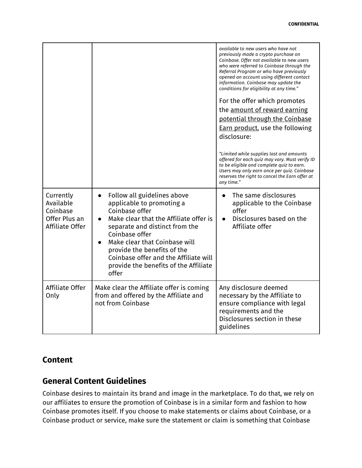| Currently<br>Available                       | Follow all guidelines above<br>$\bullet$<br>applicable to promoting a                                                                                                                                                                                                   | available to new users who have not<br>previously made a crypto purchase on<br>Coinbase. Offer not available to new users<br>who were referred to Coinbase through the<br>Referral Program or who have previously<br>opened an account using different contact<br>information. Coinbase may update the<br>conditions for eligibility at any time."<br>For the offer which promotes<br>the amount of reward earning<br>potential through the Coinbase<br><b>Earn product, use the following</b><br>disclosure:<br>"Limited while supplies last and amounts<br>offered for each quiz may vary. Must verify ID<br>to be eligible and complete quiz to earn.<br>Users may only earn once per quiz. Coinbase<br>reserves the right to cancel the Earn offer at<br>any time."<br>The same disclosures<br>applicable to the Coinbase |
|----------------------------------------------|-------------------------------------------------------------------------------------------------------------------------------------------------------------------------------------------------------------------------------------------------------------------------|-------------------------------------------------------------------------------------------------------------------------------------------------------------------------------------------------------------------------------------------------------------------------------------------------------------------------------------------------------------------------------------------------------------------------------------------------------------------------------------------------------------------------------------------------------------------------------------------------------------------------------------------------------------------------------------------------------------------------------------------------------------------------------------------------------------------------------|
| Coinbase<br>Offer Plus an<br>Affiliate Offer | Coinbase offer<br>Make clear that the Affiliate offer is<br>separate and distinct from the<br>Coinbase offer<br>Make clear that Coinbase will<br>provide the benefits of the<br>Coinbase offer and the Affiliate will<br>provide the benefits of the Affiliate<br>offer | offer<br>Disclosures based on the<br>Affiliate offer                                                                                                                                                                                                                                                                                                                                                                                                                                                                                                                                                                                                                                                                                                                                                                          |
| Affiliate Offer<br>Only                      | Make clear the Affiliate offer is coming<br>from and offered by the Affiliate and<br>not from Coinbase                                                                                                                                                                  | Any disclosure deemed<br>necessary by the Affiliate to<br>ensure compliance with legal<br>requirements and the<br>Disclosures section in these<br>guidelines                                                                                                                                                                                                                                                                                                                                                                                                                                                                                                                                                                                                                                                                  |

#### **Content**

## **General Content Guidelines**

Coinbase desires to maintain its brand and image in the marketplace. To do that, we rely on our affiliates to ensure the promotion of Coinbase is in a similar form and fashion to how Coinbase promotes itself. If you choose to make statements or claims about Coinbase, or a Coinbase product or service, make sure the statement or claim is something that Coinbase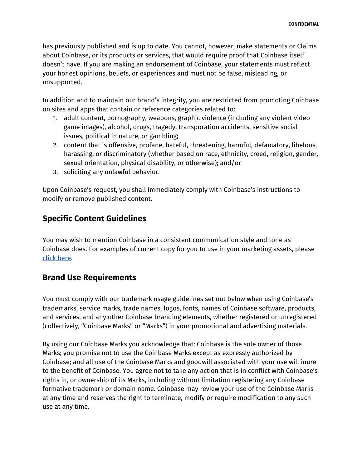has previously published and is up to date. You cannot, however, make statements or Claims about Coinbase, or its products or services, that would require proof that Coinbase itself doesn't have. If you are making an endorsement of Coinbase, your statements must reflect your honest opinions, beliefs, or experiences and must not be false, misleading, or unsupported.

In addition and to maintain our brand's integrity, you are restricted from promoting Coinbase on sites and apps that contain or reference categories related to:

- 1. adult content, pornography, weapons, graphic violence (including any violent video game images), alcohol, drugs, tragedy, transporation accidents, sensitive social issues, political in nature, or gambling;
- 2. content that is offensive, profane, hateful, threatening, harmful, defamatory, libelous, harassing, or discriminatory (whether based on race, ethnicity, creed, religion, gender, sexual orientation, physical disability, or otherwise); and/or
- 3. soliciting any unlawful behavior.

Upon Coinbase's request, you shall immediately comply with Coinbase's instructions to modify or remove published content.

## **Specific Content Guidelines**

You may wish to mention Coinbase in a consistent communication style and tone as Coinbase does. For examples of current copy for you to use in your marketing assets, please click here.

## **Brand Use Requirements**

You must comply with our trademark usage guidelines set out below when using Coinbase's trademarks, service marks, trade names, logos, fonts, names of Coinbase software, products, and services, and any other Coinbase branding elements, whether registered or unregistered (collectively, "Coinbase Marks" or "Marks") in your promotional and advertising materials.

By using our Coinbase Marks you acknowledge that: Coinbase is the sole owner of those Marks; you promise not to use the Coinbase Marks except as expressly authorized by Coinbase; and all use of the Coinbase Marks and goodwill associated with your use will inure to the benefit of Coinbase. You agree not to take any action that is in conflict with Coinbase's rights in, or ownership of its Marks, including without limitation registering any Coinbase formative trademark or domain name. Coinbase may review your use of the Coinbase Marks at any time and reserves the right to terminate, modify or require modification to any such use at any time.